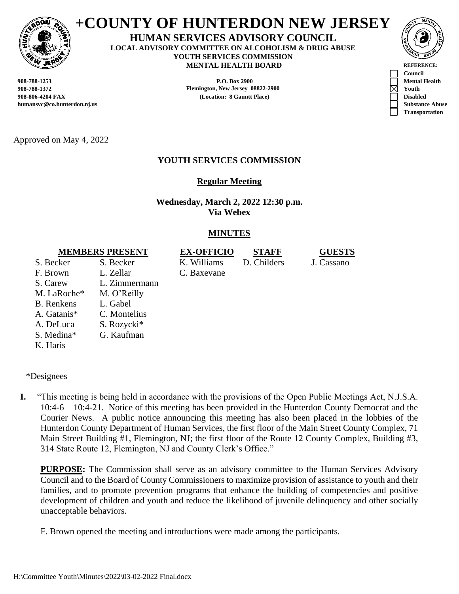

# **+COUNTY OF HUNTERDON NEW JERSEY**

#### **HUMAN SERVICES ADVISORY COUNCIL LOCAL ADVISORY COMMITTEE ON ALCOHOLISM & DRUG ABUSE YOUTH SERVICES COMMISSION MENTAL HEALTH BOARD REFERENCE**

**humansvc@co.hunterdon.nj.us Substance Abuse**

**908-788-1253 P.O. Box 2900 Mental Health 908-788-1372 Flemington, New Jersey 08822-2900 Youth 908-806-4204 FAX (Location: 8 Gauntt Place) Disabled**



**Transportation**

Approved on May 4, 2022

# **YOUTH SERVICES COMMISSION**

**Regular Meeting**

**Wednesday, March 2, 2022 12:30 p.m. Via Webex**

# **MINUTES**

# **MEMBERS PRESENT EX-OFFICIO STAFF GUESTS**

S. Becker S. Becker K. Williams D. Childers J. Cassano F. Brown S. Carew M. LaRoche\* L. Zellar L. Zimmermann M. O'Reilly B. Renkens L. Gabel A. Gatanis\* C. Montelius A. DeLuca S. Rozycki\* S. Medina\* G. Kaufman K. Haris

C. Baxevane



\*Designees

**I.** "This meeting is being held in accordance with the provisions of the Open Public Meetings Act, N.J.S.A. 10:4-6 – 10:4-21. Notice of this meeting has been provided in the Hunterdon County Democrat and the Courier News. A public notice announcing this meeting has also been placed in the lobbies of the Hunterdon County Department of Human Services, the first floor of the Main Street County Complex, 71 Main Street Building #1, Flemington, NJ; the first floor of the Route 12 County Complex, Building #3, 314 State Route 12, Flemington, NJ and County Clerk's Office."

**PURPOSE:** The Commission shall serve as an advisory committee to the Human Services Advisory Council and to the Board of County Commissioners to maximize provision of assistance to youth and their families, and to promote prevention programs that enhance the building of competencies and positive development of children and youth and reduce the likelihood of juvenile delinquency and other socially unacceptable behaviors.

F. Brown opened the meeting and introductions were made among the participants.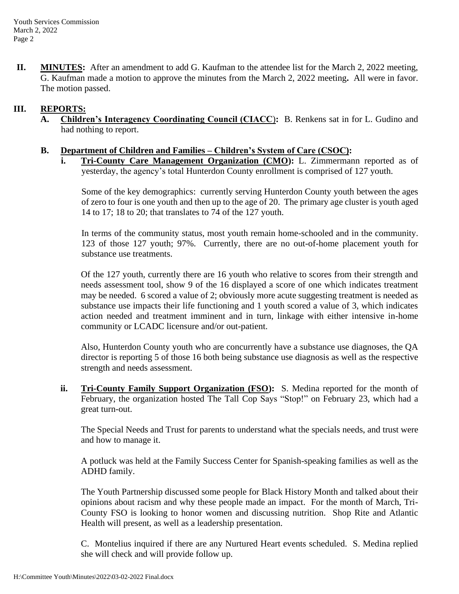**II. MINUTES:** After an amendment to add G. Kaufman to the attendee list for the March 2, 2022 meeting, G. Kaufman made a motion to approve the minutes from the March 2, 2022 meeting**.** All were in favor. The motion passed.

### **III. REPORTS:**

**A. Children's Interagency Coordinating Council (CIACC**)**:** B. Renkens sat in for L. Gudino and had nothing to report.

#### **B. Department of Children and Families – Children's System of Care (CSOC):**

**i. Tri-County Care Management Organization (CMO):** L. Zimmermann reported as of yesterday, the agency's total Hunterdon County enrollment is comprised of 127 youth.

Some of the key demographics: currently serving Hunterdon County youth between the ages of zero to four is one youth and then up to the age of 20. The primary age cluster is youth aged 14 to 17; 18 to 20; that translates to 74 of the 127 youth.

In terms of the community status, most youth remain home-schooled and in the community. 123 of those 127 youth; 97%. Currently, there are no out-of-home placement youth for substance use treatments.

Of the 127 youth, currently there are 16 youth who relative to scores from their strength and needs assessment tool, show 9 of the 16 displayed a score of one which indicates treatment may be needed. 6 scored a value of 2; obviously more acute suggesting treatment is needed as substance use impacts their life functioning and 1 youth scored a value of 3, which indicates action needed and treatment imminent and in turn, linkage with either intensive in-home community or LCADC licensure and/or out-patient.

Also, Hunterdon County youth who are concurrently have a substance use diagnoses, the QA director is reporting 5 of those 16 both being substance use diagnosis as well as the respective strength and needs assessment.

**ii. Tri-County Family Support Organization (FSO):** S. Medina reported for the month of February, the organization hosted The Tall Cop Says "Stop!" on February 23, which had a great turn-out.

The Special Needs and Trust for parents to understand what the specials needs, and trust were and how to manage it.

A potluck was held at the Family Success Center for Spanish-speaking families as well as the ADHD family.

The Youth Partnership discussed some people for Black History Month and talked about their opinions about racism and why these people made an impact. For the month of March, Tri-County FSO is looking to honor women and discussing nutrition. Shop Rite and Atlantic Health will present, as well as a leadership presentation.

C. Montelius inquired if there are any Nurtured Heart events scheduled. S. Medina replied she will check and will provide follow up.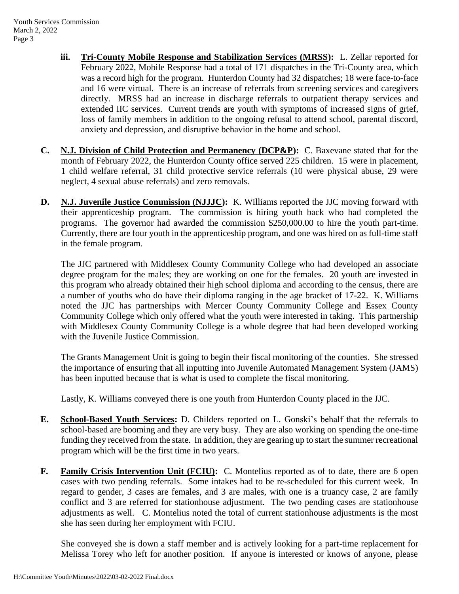- **iii. Tri-County Mobile Response and Stabilization Services (MRSS):** L. Zellar reported for February 2022, Mobile Response had a total of 171 dispatches in the Tri-County area, which was a record high for the program. Hunterdon County had 32 dispatches; 18 were face-to-face and 16 were virtual. There is an increase of referrals from screening services and caregivers directly. MRSS had an increase in discharge referrals to outpatient therapy services and extended IIC services. Current trends are youth with symptoms of increased signs of grief, loss of family members in addition to the ongoing refusal to attend school, parental discord, anxiety and depression, and disruptive behavior in the home and school.
- **C. N.J. Division of Child Protection and Permanency (DCP&P):** C. Baxevane stated that for the month of February 2022, the Hunterdon County office served 225 children. 15 were in placement, 1 child welfare referral, 31 child protective service referrals (10 were physical abuse, 29 were neglect, 4 sexual abuse referrals) and zero removals.
- **D. N.J. Juvenile Justice Commission (NJJJC):** K. Williams reported the JJC moving forward with their apprenticeship program. The commission is hiring youth back who had completed the programs. The governor had awarded the commission \$250,000.00 to hire the youth part-time. Currently, there are four youth in the apprenticeship program, and one was hired on as full-time staff in the female program.

The JJC partnered with Middlesex County Community College who had developed an associate degree program for the males; they are working on one for the females. 20 youth are invested in this program who already obtained their high school diploma and according to the census, there are a number of youths who do have their diploma ranging in the age bracket of 17-22. K. Williams noted the JJC has partnerships with Mercer County Community College and Essex County Community College which only offered what the youth were interested in taking. This partnership with Middlesex County Community College is a whole degree that had been developed working with the Juvenile Justice Commission.

The Grants Management Unit is going to begin their fiscal monitoring of the counties. She stressed the importance of ensuring that all inputting into Juvenile Automated Management System (JAMS) has been inputted because that is what is used to complete the fiscal monitoring.

Lastly, K. Williams conveyed there is one youth from Hunterdon County placed in the JJC.

- **E. School-Based Youth Services:** D. Childers reported on L. Gonski's behalf that the referrals to school-based are booming and they are very busy. They are also working on spending the one-time funding they received from the state. In addition, they are gearing up to start the summer recreational program which will be the first time in two years.
- **F. Family Crisis Intervention Unit (FCIU):** C. Montelius reported as of to date, there are 6 open cases with two pending referrals. Some intakes had to be re-scheduled for this current week. In regard to gender, 3 cases are females, and 3 are males, with one is a truancy case, 2 are family conflict and 3 are referred for stationhouse adjustment. The two pending cases are stationhouse adjustments as well. C. Montelius noted the total of current stationhouse adjustments is the most she has seen during her employment with FCIU.

She conveyed she is down a staff member and is actively looking for a part-time replacement for Melissa Torey who left for another position. If anyone is interested or knows of anyone, please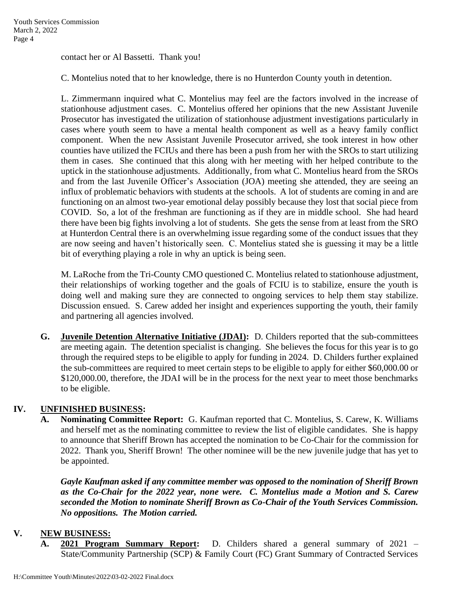contact her or Al Bassetti. Thank you!

C. Montelius noted that to her knowledge, there is no Hunterdon County youth in detention.

L. Zimmermann inquired what C. Montelius may feel are the factors involved in the increase of stationhouse adjustment cases. C. Montelius offered her opinions that the new Assistant Juvenile Prosecutor has investigated the utilization of stationhouse adjustment investigations particularly in cases where youth seem to have a mental health component as well as a heavy family conflict component. When the new Assistant Juvenile Prosecutor arrived, she took interest in how other counties have utilized the FCIUs and there has been a push from her with the SROs to start utilizing them in cases. She continued that this along with her meeting with her helped contribute to the uptick in the stationhouse adjustments. Additionally, from what C. Montelius heard from the SROs and from the last Juvenile Officer's Association (JOA) meeting she attended, they are seeing an influx of problematic behaviors with students at the schools. A lot of students are coming in and are functioning on an almost two-year emotional delay possibly because they lost that social piece from COVID. So, a lot of the freshman are functioning as if they are in middle school. She had heard there have been big fights involving a lot of students. She gets the sense from at least from the SRO at Hunterdon Central there is an overwhelming issue regarding some of the conduct issues that they are now seeing and haven't historically seen. C. Montelius stated she is guessing it may be a little bit of everything playing a role in why an uptick is being seen.

M. LaRoche from the Tri-County CMO questioned C. Montelius related to stationhouse adjustment, their relationships of working together and the goals of FCIU is to stabilize, ensure the youth is doing well and making sure they are connected to ongoing services to help them stay stabilize. Discussion ensued. S. Carew added her insight and experiences supporting the youth, their family and partnering all agencies involved.

**G. Juvenile Detention Alternative Initiative (JDAI):** D. Childers reported that the sub-committees are meeting again. The detention specialist is changing. She believes the focus for this year is to go through the required steps to be eligible to apply for funding in 2024. D. Childers further explained the sub-committees are required to meet certain steps to be eligible to apply for either \$60,000.00 or \$120,000.00, therefore, the JDAI will be in the process for the next year to meet those benchmarks to be eligible.

## **IV. UNFINISHED BUSINESS:**

**A. Nominating Committee Report:** G. Kaufman reported that C. Montelius, S. Carew, K. Williams and herself met as the nominating committee to review the list of eligible candidates. She is happy to announce that Sheriff Brown has accepted the nomination to be Co-Chair for the commission for 2022. Thank you, Sheriff Brown! The other nominee will be the new juvenile judge that has yet to be appointed.

*Gayle Kaufman asked if any committee member was opposed to the nomination of Sheriff Brown as the Co-Chair for the 2022 year, none were. C. Montelius made a Motion and S. Carew seconded the Motion to nominate Sheriff Brown as Co-Chair of the Youth Services Commission. No oppositions. The Motion carried.* 

#### **V. NEW BUSINESS:**

**A. 2021 Program Summary Report:** D. Childers shared a general summary of 2021 – State/Community Partnership (SCP) & Family Court (FC) Grant Summary of Contracted Services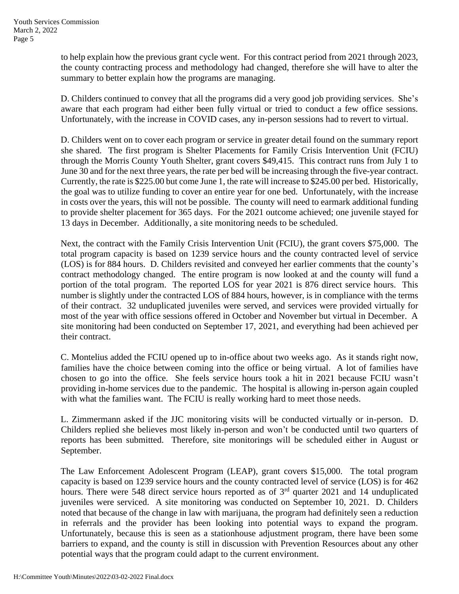to help explain how the previous grant cycle went. For this contract period from 2021 through 2023, the county contracting process and methodology had changed, therefore she will have to alter the summary to better explain how the programs are managing.

D. Childers continued to convey that all the programs did a very good job providing services. She's aware that each program had either been fully virtual or tried to conduct a few office sessions. Unfortunately, with the increase in COVID cases, any in-person sessions had to revert to virtual.

D. Childers went on to cover each program or service in greater detail found on the summary report she shared. The first program is Shelter Placements for Family Crisis Intervention Unit (FCIU) through the Morris County Youth Shelter, grant covers \$49,415. This contract runs from July 1 to June 30 and for the next three years, the rate per bed will be increasing through the five-year contract. Currently, the rate is \$225.00 but come June 1, the rate will increase to \$245.00 per bed. Historically, the goal was to utilize funding to cover an entire year for one bed. Unfortunately, with the increase in costs over the years, this will not be possible. The county will need to earmark additional funding to provide shelter placement for 365 days. For the 2021 outcome achieved; one juvenile stayed for 13 days in December. Additionally, a site monitoring needs to be scheduled.

Next, the contract with the Family Crisis Intervention Unit (FCIU), the grant covers \$75,000. The total program capacity is based on 1239 service hours and the county contracted level of service (LOS) is for 884 hours. D. Childers revisited and conveyed her earlier comments that the county's contract methodology changed. The entire program is now looked at and the county will fund a portion of the total program. The reported LOS for year 2021 is 876 direct service hours. This number is slightly under the contracted LOS of 884 hours, however, is in compliance with the terms of their contract. 32 unduplicated juveniles were served, and services were provided virtually for most of the year with office sessions offered in October and November but virtual in December. A site monitoring had been conducted on September 17, 2021, and everything had been achieved per their contract.

C. Montelius added the FCIU opened up to in-office about two weeks ago. As it stands right now, families have the choice between coming into the office or being virtual. A lot of families have chosen to go into the office. She feels service hours took a hit in 2021 because FCIU wasn't providing in-home services due to the pandemic. The hospital is allowing in-person again coupled with what the families want. The FCIU is really working hard to meet those needs.

L. Zimmermann asked if the JJC monitoring visits will be conducted virtually or in-person. D. Childers replied she believes most likely in-person and won't be conducted until two quarters of reports has been submitted. Therefore, site monitorings will be scheduled either in August or September.

The Law Enforcement Adolescent Program (LEAP), grant covers \$15,000. The total program capacity is based on 1239 service hours and the county contracted level of service (LOS) is for 462 hours. There were 548 direct service hours reported as of 3<sup>rd</sup> quarter 2021 and 14 unduplicated juveniles were serviced. A site monitoring was conducted on September 10, 2021. D. Childers noted that because of the change in law with marijuana, the program had definitely seen a reduction in referrals and the provider has been looking into potential ways to expand the program. Unfortunately, because this is seen as a stationhouse adjustment program, there have been some barriers to expand, and the county is still in discussion with Prevention Resources about any other potential ways that the program could adapt to the current environment.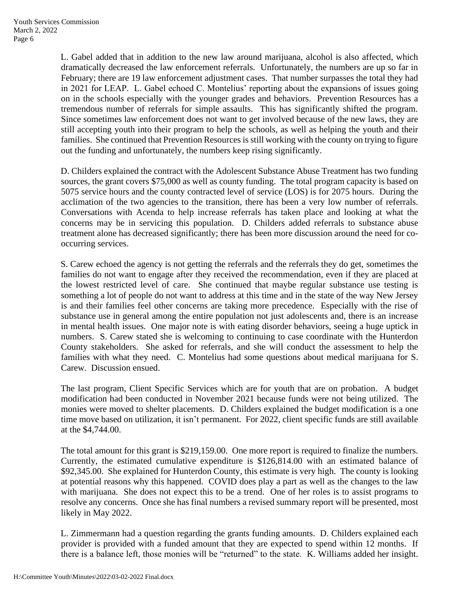L. Gabel added that in addition to the new law around marijuana, alcohol is also affected, which dramatically decreased the law enforcement referrals. Unfortunately, the numbers are up so far in February; there are 19 law enforcement adjustment cases. That number surpasses the total they had in 2021 for LEAP. L. Gabel echoed C. Montelius' reporting about the expansions of issues going on in the schools especially with the younger grades and behaviors. Prevention Resources has a tremendous number of referrals for simple assaults. This has significantly shifted the program. Since sometimes law enforcement does not want to get involved because of the new laws, they are still accepting youth into their program to help the schools, as well as helping the youth and their families. She continued that Prevention Resources is still working with the county on trying to figure out the funding and unfortunately, the numbers keep rising significantly.

D. Childers explained the contract with the Adolescent Substance Abuse Treatment has two funding sources, the grant covers \$75,000 as well as county funding. The total program capacity is based on 5075 service hours and the county contracted level of service (LOS) is for 2075 hours. During the acclimation of the two agencies to the transition, there has been a very low number of referrals. Conversations with Acenda to help increase referrals has taken place and looking at what the concerns may be in servicing this population. D. Childers added referrals to substance abuse treatment alone has decreased significantly; there has been more discussion around the need for cooccurring services.

S. Carew echoed the agency is not getting the referrals and the referrals they do get, sometimes the families do not want to engage after they received the recommendation, even if they are placed at the lowest restricted level of care. She continued that maybe regular substance use testing is something a lot of people do not want to address at this time and in the state of the way New Jersey is and their families feel other concerns are taking more precedence. Especially with the rise of substance use in general among the entire population not just adolescents and, there is an increase in mental health issues. One major note is with eating disorder behaviors, seeing a huge uptick in numbers. S. Carew stated she is welcoming to continuing to case coordinate with the Hunterdon County stakeholders. She asked for referrals, and she will conduct the assessment to help the families with what they need. C. Montelius had some questions about medical marijuana for S. Carew. Discussion ensued.

The last program, Client Specific Services which are for youth that are on probation. A budget modification had been conducted in November 2021 because funds were not being utilized. The monies were moved to shelter placements. D. Childers explained the budget modification is a one time move based on utilization, it isn't permanent. For 2022, client specific funds are still available at the \$4,744.00.

The total amount for this grant is \$219,159.00. One more report is required to finalize the numbers. Currently, the estimated cumulative expenditure is \$126,814.00 with an estimated balance of \$92,345.00. She explained for Hunterdon County, this estimate is very high. The county is looking at potential reasons why this happened. COVID does play a part as well as the changes to the law with marijuana. She does not expect this to be a trend. One of her roles is to assist programs to resolve any concerns. Once she has final numbers a revised summary report will be presented, most likely in May 2022.

L. Zimmermann had a question regarding the grants funding amounts. D. Childers explained each provider is provided with a funded amount that they are expected to spend within 12 months. If there is a balance left, those monies will be "returned" to the state. K. Williams added her insight.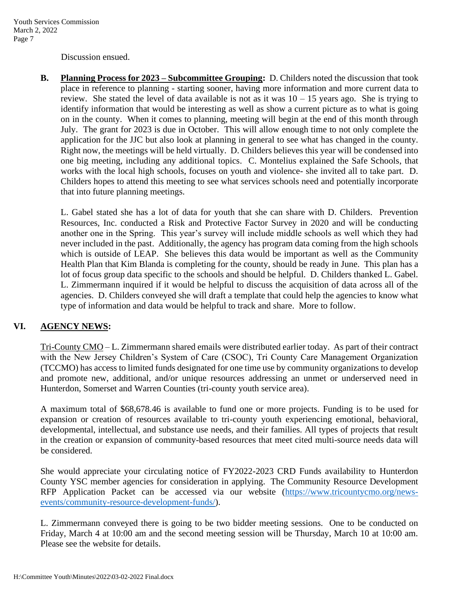Discussion ensued.

**B. Planning Process for 2023 – Subcommittee Grouping:** D. Childers noted the discussion that took place in reference to planning - starting sooner, having more information and more current data to review. She stated the level of data available is not as it was  $10 - 15$  years ago. She is trying to identify information that would be interesting as well as show a current picture as to what is going on in the county. When it comes to planning, meeting will begin at the end of this month through July. The grant for 2023 is due in October. This will allow enough time to not only complete the application for the JJC but also look at planning in general to see what has changed in the county. Right now, the meetings will be held virtually. D. Childers believes this year will be condensed into one big meeting, including any additional topics. C. Montelius explained the Safe Schools, that works with the local high schools, focuses on youth and violence- she invited all to take part. D. Childers hopes to attend this meeting to see what services schools need and potentially incorporate that into future planning meetings.

L. Gabel stated she has a lot of data for youth that she can share with D. Childers. Prevention Resources, Inc. conducted a Risk and Protective Factor Survey in 2020 and will be conducting another one in the Spring. This year's survey will include middle schools as well which they had never included in the past. Additionally, the agency has program data coming from the high schools which is outside of LEAP. She believes this data would be important as well as the Community Health Plan that Kim Blanda is completing for the county, should be ready in June. This plan has a lot of focus group data specific to the schools and should be helpful. D. Childers thanked L. Gabel. L. Zimmermann inquired if it would be helpful to discuss the acquisition of data across all of the agencies. D. Childers conveyed she will draft a template that could help the agencies to know what type of information and data would be helpful to track and share. More to follow.

## **VI. AGENCY NEWS:**

Tri-County CMO – L. Zimmermann shared emails were distributed earlier today. As part of their contract with the New Jersey Children's System of Care (CSOC), Tri County Care Management Organization (TCCMO) has access to limited funds designated for one time use by community organizations to develop and promote new, additional, and/or unique resources addressing an unmet or underserved need in Hunterdon, Somerset and Warren Counties (tri-county youth service area).

A maximum total of \$68,678.46 is available to fund one or more projects. Funding is to be used for expansion or creation of resources available to tri-county youth experiencing emotional, behavioral, developmental, intellectual, and substance use needs, and their families. All types of projects that result in the creation or expansion of community-based resources that meet cited multi-source needs data will be considered.

She would appreciate your circulating notice of FY2022-2023 CRD Funds availability to Hunterdon County YSC member agencies for consideration in applying. The Community Resource Development RFP Application Packet can be accessed via our website [\(https://www.tricountycmo.org/news](https://www.tricountycmo.org/news-events/community-resource-development-funds/)[events/community-resource-development-funds/\)](https://www.tricountycmo.org/news-events/community-resource-development-funds/).

L. Zimmermann conveyed there is going to be two bidder meeting sessions. One to be conducted on Friday, March 4 at 10:00 am and the second meeting session will be Thursday, March 10 at 10:00 am. Please see the website for details.